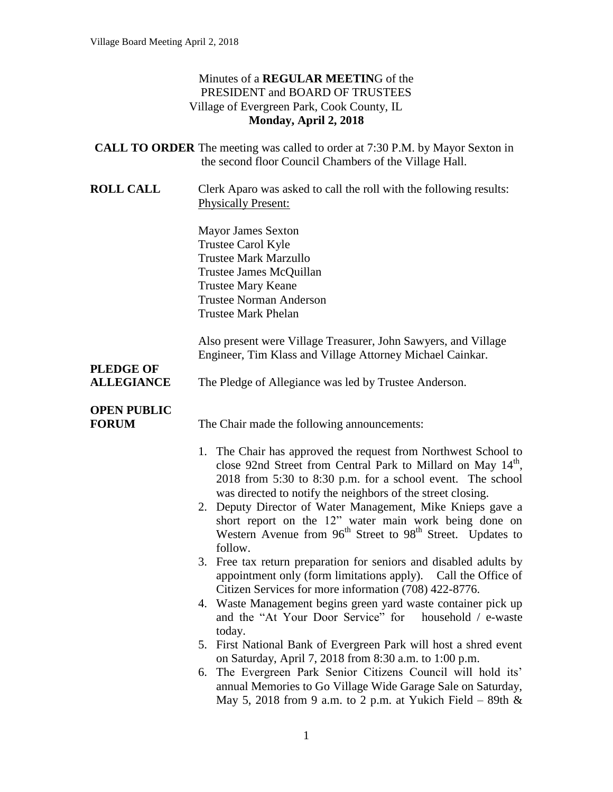### Minutes of a **REGULAR MEETIN**G of the PRESIDENT and BOARD OF TRUSTEES Village of Evergreen Park, Cook County, IL **Monday, April 2, 2018**

|                                       | <b>CALL TO ORDER</b> The meeting was called to order at 7:30 P.M. by Mayor Sexton in<br>the second floor Council Chambers of the Village Hall.                                                                                                                                                                                                                                                                                                                                                  |
|---------------------------------------|-------------------------------------------------------------------------------------------------------------------------------------------------------------------------------------------------------------------------------------------------------------------------------------------------------------------------------------------------------------------------------------------------------------------------------------------------------------------------------------------------|
| <b>ROLL CALL</b>                      | Clerk Aparo was asked to call the roll with the following results:<br><b>Physically Present:</b>                                                                                                                                                                                                                                                                                                                                                                                                |
|                                       | <b>Mayor James Sexton</b><br><b>Trustee Carol Kyle</b><br><b>Trustee Mark Marzullo</b><br>Trustee James McQuillan<br><b>Trustee Mary Keane</b><br><b>Trustee Norman Anderson</b><br><b>Trustee Mark Phelan</b>                                                                                                                                                                                                                                                                                  |
|                                       | Also present were Village Treasurer, John Sawyers, and Village<br>Engineer, Tim Klass and Village Attorney Michael Cainkar.                                                                                                                                                                                                                                                                                                                                                                     |
| <b>PLEDGE OF</b><br><b>ALLEGIANCE</b> | The Pledge of Allegiance was led by Trustee Anderson.                                                                                                                                                                                                                                                                                                                                                                                                                                           |
| <b>OPEN PUBLIC</b><br><b>FORUM</b>    | The Chair made the following announcements:                                                                                                                                                                                                                                                                                                                                                                                                                                                     |
|                                       | 1. The Chair has approved the request from Northwest School to<br>close 92nd Street from Central Park to Millard on May 14 <sup>th</sup> ,<br>2018 from 5:30 to 8:30 p.m. for a school event. The school<br>was directed to notify the neighbors of the street closing.<br>2. Deputy Director of Water Management, Mike Knieps gave a<br>short report on the 12" water main work being done on<br>Western Avenue from 96 <sup>th</sup> Street to 98 <sup>th</sup> Street. Updates to<br>follow. |
|                                       | 3. Free tax return preparation for seniors and disabled adults by<br>appointment only (form limitations apply).<br>Call the Office of                                                                                                                                                                                                                                                                                                                                                           |
|                                       | Citizen Services for more information (708) 422-8776.<br>4. Waste Management begins green yard waste container pick up<br>and the "At Your Door Service" for<br>household / e-waste                                                                                                                                                                                                                                                                                                             |
|                                       | today.<br>5. First National Bank of Evergreen Park will host a shred event                                                                                                                                                                                                                                                                                                                                                                                                                      |
|                                       | on Saturday, April 7, 2018 from 8:30 a.m. to 1:00 p.m.<br>The Evergreen Park Senior Citizens Council will hold its'<br>6.<br>annual Memories to Go Village Wide Garage Sale on Saturday,<br>May 5, 2018 from 9 a.m. to 2 p.m. at Yukich Field – 89th $\&$                                                                                                                                                                                                                                       |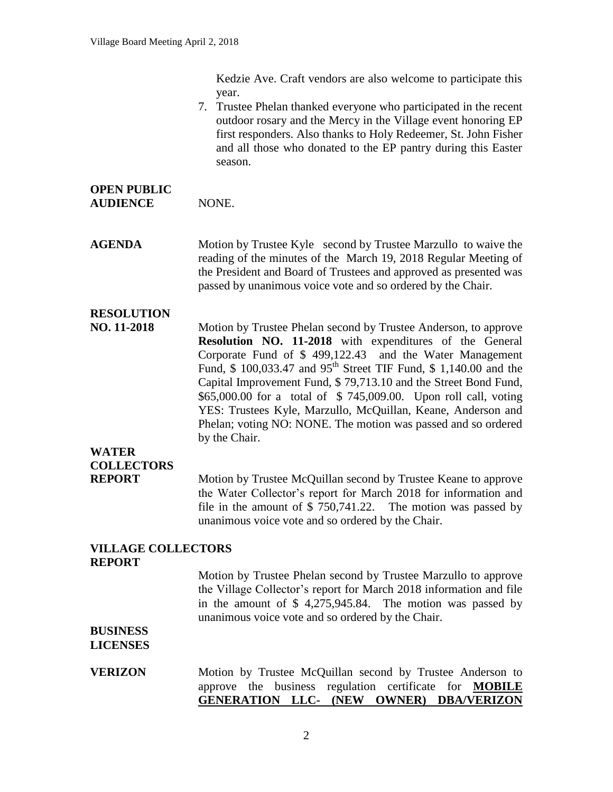Kedzie Ave. Craft vendors are also welcome to participate this year.

7. Trustee Phelan thanked everyone who participated in the recent outdoor rosary and the Mercy in the Village event honoring EP first responders. Also thanks to Holy Redeemer, St. John Fisher and all those who donated to the EP pantry during this Easter season.

### **OPEN PUBLIC** AUDIENCE NONE.

**AGENDA** Motion by Trustee Kyle second by Trustee Marzullo to waive the reading of the minutes of the March 19, 2018 Regular Meeting of the President and Board of Trustees and approved as presented was passed by unanimous voice vote and so ordered by the Chair.

## **RESOLUTION**

**NO. 11-2018** Motion by Trustee Phelan second by Trustee Anderson, to approve **Resolution NO. 11-2018** with expenditures of the General Corporate Fund of \$ 499,122.43 and the Water Management Fund, \$ 100,033.47 and 95<sup>th</sup> Street TIF Fund, \$ 1,140.00 and the Capital Improvement Fund, \$ 79,713.10 and the Street Bond Fund, \$65,000.00 for a total of \$ 745,009.00. Upon roll call, voting YES: Trustees Kyle, Marzullo, McQuillan, Keane, Anderson and Phelan; voting NO: NONE. The motion was passed and so ordered by the Chair.

## **WATER COLLECTORS**

**REPORT** Motion by Trustee McQuillan second by Trustee Keane to approve the Water Collector's report for March 2018 for information and file in the amount of \$ 750,741.22. The motion was passed by unanimous voice vote and so ordered by the Chair.

### **VILLAGE COLLECTORS REPORT**

Motion by Trustee Phelan second by Trustee Marzullo to approve the Village Collector's report for March 2018 information and file in the amount of \$ 4,275,945.84. The motion was passed by unanimous voice vote and so ordered by the Chair.

#### **BUSINESS LICENSES**

### **VERIZON** Motion by Trustee McQuillan second by Trustee Anderson to approve the business regulation certificate for **MOBILE GENERATION LLC- (NEW OWNER) DBA/VERIZON**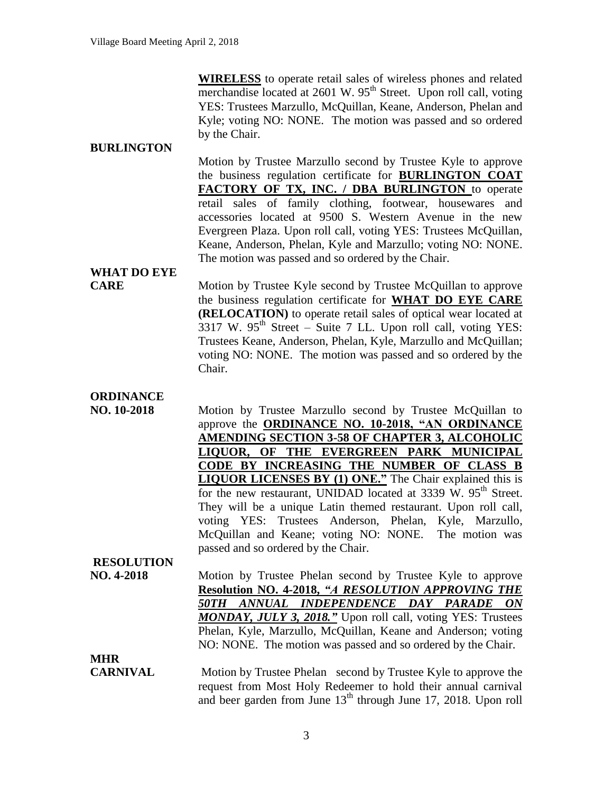**WIRELESS** to operate retail sales of wireless phones and related merchandise located at  $2601 \text{ W}$ .  $95^{\text{th}}$  Street. Upon roll call, voting YES: Trustees Marzullo, McQuillan, Keane, Anderson, Phelan and Kyle; voting NO: NONE. The motion was passed and so ordered by the Chair.

### **BURLINGTON**

Motion by Trustee Marzullo second by Trustee Kyle to approve the business regulation certificate for **BURLINGTON COAT FACTORY OF TX, INC. / DBA BURLINGTON** to operate retail sales of family clothing, footwear, housewares and accessories located at 9500 S. Western Avenue in the new Evergreen Plaza. Upon roll call, voting YES: Trustees McQuillan, Keane, Anderson, Phelan, Kyle and Marzullo; voting NO: NONE. The motion was passed and so ordered by the Chair.

## **WHAT DO EYE**

**CARE** Motion by Trustee Kyle second by Trustee McQuillan to approve the business regulation certificate for **WHAT DO EYE CARE (RELOCATION)** to operate retail sales of optical wear located at  $3317$  W.  $95<sup>th</sup>$  Street – Suite 7 LL. Upon roll call, voting YES: Trustees Keane, Anderson, Phelan, Kyle, Marzullo and McQuillan; voting NO: NONE. The motion was passed and so ordered by the Chair.

### **ORDINANCE**

**NO. 10-2018** Motion by Trustee Marzullo second by Trustee McQuillan to approve the **ORDINANCE NO. 10-2018, "AN ORDINANCE AMENDING SECTION 3-58 OF CHAPTER 3, ALCOHOLIC LIQUOR, OF THE EVERGREEN PARK MUNICIPAL CODE BY INCREASING THE NUMBER OF CLASS B LIQUOR LICENSES BY (1) ONE."** The Chair explained this is for the new restaurant, UNIDAD located at 3339 W.  $95<sup>th</sup>$  Street. They will be a unique Latin themed restaurant. Upon roll call, voting YES: Trustees Anderson, Phelan, Kyle, Marzullo, McQuillan and Keane; voting NO: NONE. The motion was passed and so ordered by the Chair.

### **RESOLUTION**

**NO. 4-2018** Motion by Trustee Phelan second by Trustee Kyle to approve **Resolution NO. 4-2018,** *"A RESOLUTION APPROVING THE 50TH ANNUAL INDEPENDENCE DAY PARADE ON MONDAY, JULY 3, 2018."* Upon roll call, voting YES: Trustees Phelan, Kyle, Marzullo, McQuillan, Keane and Anderson; voting NO: NONE. The motion was passed and so ordered by the Chair.

## **MHR**

**CARNIVAL** Motion by Trustee Phelan second by Trustee Kyle to approve the request from Most Holy Redeemer to hold their annual carnival and beer garden from June  $13<sup>th</sup>$  through June 17, 2018. Upon roll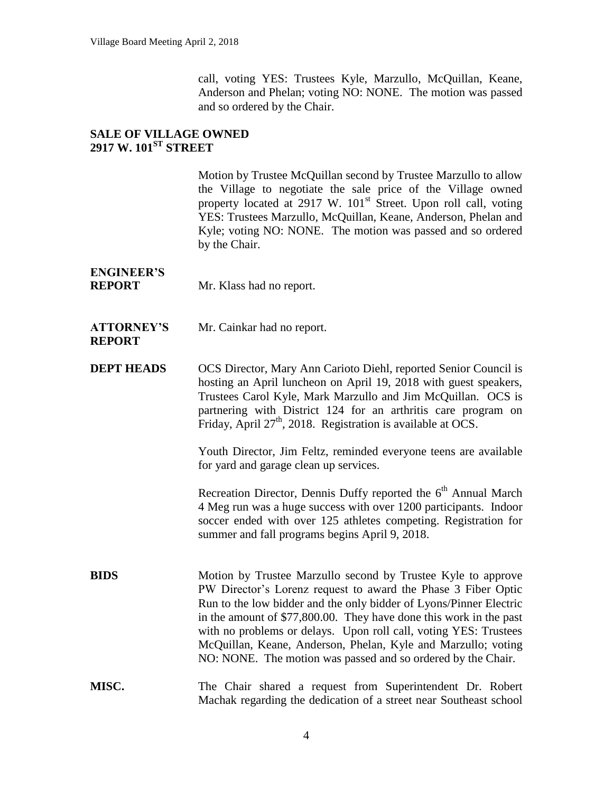call, voting YES: Trustees Kyle, Marzullo, McQuillan, Keane, Anderson and Phelan; voting NO: NONE. The motion was passed and so ordered by the Chair.

### **SALE OF VILLAGE OWNED 2917 W. 101ST STREET**

Motion by Trustee McQuillan second by Trustee Marzullo to allow the Village to negotiate the sale price of the Village owned property located at  $2917 \text{ W}$ .  $101^{\text{st}}$  Street. Upon roll call, voting YES: Trustees Marzullo, McQuillan, Keane, Anderson, Phelan and Kyle; voting NO: NONE. The motion was passed and so ordered by the Chair.

# **ENGINEER'S**

**REPORT** Mr. Klass had no report.

### **ATTORNEY'S** Mr. Cainkar had no report. **REPORT**

**DEPT HEADS** OCS Director, Mary Ann Carioto Diehl, reported Senior Council is hosting an April luncheon on April 19, 2018 with guest speakers, Trustees Carol Kyle, Mark Marzullo and Jim McQuillan. OCS is partnering with District 124 for an arthritis care program on Friday, April  $27<sup>th</sup>$ , 2018. Registration is available at OCS.

> Youth Director, Jim Feltz, reminded everyone teens are available for yard and garage clean up services.

> Recreation Director, Dennis Duffy reported the  $6<sup>th</sup>$  Annual March 4 Meg run was a huge success with over 1200 participants. Indoor soccer ended with over 125 athletes competing. Registration for summer and fall programs begins April 9, 2018.

**BIDS** Motion by Trustee Marzullo second by Trustee Kyle to approve PW Director's Lorenz request to award the Phase 3 Fiber Optic Run to the low bidder and the only bidder of Lyons/Pinner Electric in the amount of \$77,800.00. They have done this work in the past with no problems or delays. Upon roll call, voting YES: Trustees McQuillan, Keane, Anderson, Phelan, Kyle and Marzullo; voting NO: NONE. The motion was passed and so ordered by the Chair.

**MISC.** The Chair shared a request from Superintendent Dr. Robert Machak regarding the dedication of a street near Southeast school